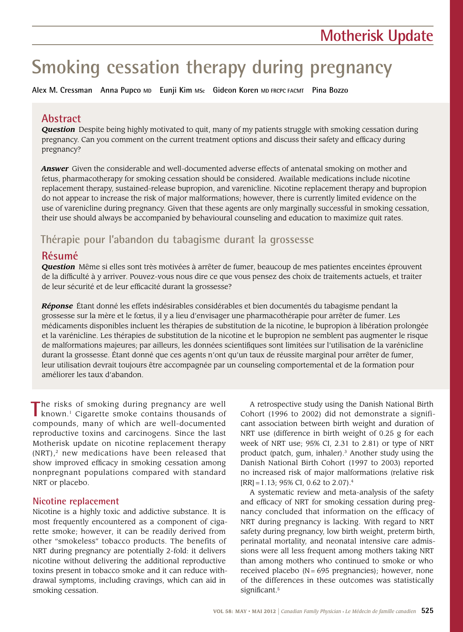# **Smoking cessation therapy during pregnancy**

**Alex M. Cressman Anna Pupco MD Eunji Kim MSc Gideon Koren MD FRCPC FACMT Pina Bozzo**

## **Abstract**

*Question* Despite being highly motivated to quit, many of my patients struggle with smoking cessation during pregnancy. Can you comment on the current treatment options and discuss their safety and efficacy during pregnancy?

*Answer* Given the considerable and well-documented adverse effects of antenatal smoking on mother and fetus, pharmacotherapy for smoking cessation should be considered. Available medications include nicotine replacement therapy, sustained-release bupropion, and varenicline. Nicotine replacement therapy and bupropion do not appear to increase the risk of major malformations; however, there is currently limited evidence on the use of varenicline during pregnancy. Given that these agents are only marginally successful in smoking cessation, their use should always be accompanied by behavioural counseling and education to maximize quit rates.

## **Thérapie pour l'abandon du tabagisme durant la grossesse**

## **Résumé**

*Question* Même si elles sont très motivées à arrêter de fumer, beaucoup de mes patientes enceintes éprouvent de la difficulté à y arriver. Pouvez-vous nous dire ce que vous pensez des choix de traitements actuels, et traiter de leur sécurité et de leur efficacité durant la grossesse?

*Réponse* Étant donné les effets indésirables considérables et bien documentés du tabagisme pendant la grossesse sur la mère et le fœtus, il y a lieu d'envisager une pharmacothérapie pour arrêter de fumer. Les médicaments disponibles incluent les thérapies de substitution de la nicotine, le bupropion à libération prolongée et la varénicline. Les thérapies de substitution de la nicotine et le bupropion ne semblent pas augmenter le risque de malformations majeures; par ailleurs, les données scientifiques sont limitées sur l'utilisation de la varénicline durant la grossesse. Étant donné que ces agents n'ont qu'un taux de réussite marginal pour arrêter de fumer, leur utilisation devrait toujours être accompagnée par un counseling comportemental et de la formation pour améliorer les taux d'abandon.

The risks of smoking during pregnancy are well known.<sup>1</sup> Cigarette smoke contains thousands of compounds, many of which are well-documented reproductive toxins and carcinogens. Since the last Motherisk update on nicotine replacement therapy  $(NRT)$ ,<sup>2</sup> new medications have been released that show improved efficacy in smoking cessation among nonpregnant populations compared with standard NRT or placebo.

### **Nicotine replacement**

Nicotine is a highly toxic and addictive substance. It is most frequently encountered as a component of cigarette smoke; however, it can be readily derived from other "smokeless" tobacco products. The benefits of NRT during pregnancy are potentially 2-fold: it delivers nicotine without delivering the additional reproductive toxins present in tobacco smoke and it can reduce withdrawal symptoms, including cravings, which can aid in smoking cessation.

A retrospective study using the Danish National Birth Cohort (1996 to 2002) did not demonstrate a significant association between birth weight and duration of NRT use (difference in birth weight of 0.25 g for each week of NRT use; 95% CI, 2.31 to 2.81) or type of NRT product (patch, gum, inhaler).3 Another study using the Danish National Birth Cohort (1997 to 2003) reported no increased risk of major malformations (relative risk  $[RR] = 1.13$ ; 95% CI, 0.62 to 2.07).<sup>4</sup>

A systematic review and meta-analysis of the safety and efficacy of NRT for smoking cessation during pregnancy concluded that information on the efficacy of NRT during pregnancy is lacking. With regard to NRT safety during pregnancy, low birth weight, preterm birth, perinatal mortality, and neonatal intensive care admissions were all less frequent among mothers taking NRT than among mothers who continued to smoke or who received placebo  $(N = 695$  pregnancies); however, none of the differences in these outcomes was statistically significant.<sup>5</sup>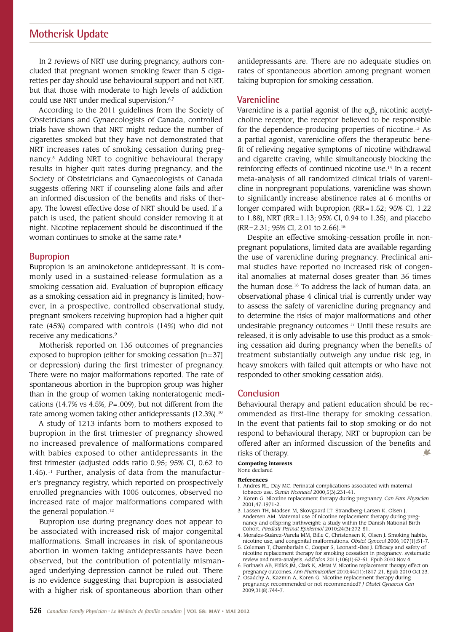## **Motherisk Update**

In 2 reviews of NRT use during pregnancy, authors concluded that pregnant women smoking fewer than 5 cigarettes per day should use behavioural support and not NRT, but that those with moderate to high levels of addiction could use NRT under medical supervision.<sup>6,7</sup>

According to the 2011 guidelines from the Society of Obstetricians and Gynaecologists of Canada, controlled trials have shown that NRT might reduce the number of cigarettes smoked but they have not demonstrated that NRT increases rates of smoking cessation during pregnancy.8 Adding NRT to cognitive behavioural therapy results in higher quit rates during pregnancy, and the Society of Obstetricians and Gynaecologists of Canada suggests offering NRT if counseling alone fails and after an informed discussion of the benefits and risks of therapy. The lowest effective dose of NRT should be used. If a patch is used, the patient should consider removing it at night. Nicotine replacement should be discontinued if the woman continues to smoke at the same rate.<sup>8</sup>

#### **Bupropion**

Bupropion is an aminoketone antidepressant. It is commonly used in a sustained-release formulation as a smoking cessation aid. Evaluation of bupropion efficacy as a smoking cessation aid in pregnancy is limited; however, in a prospective, controlled observational study, pregnant smokers receiving bupropion had a higher quit rate (45%) compared with controls (14%) who did not receive any medications.<sup>9</sup>

Motherisk reported on 136 outcomes of pregnancies exposed to bupropion (either for smoking cessation [n=37] or depression) during the first trimester of pregnancy. There were no major malformations reported. The rate of spontaneous abortion in the bupropion group was higher than in the group of women taking nonteratogenic medications (14.7% vs 4.5%, *P*=.009), but not different from the rate among women taking other antidepressants (12.3%).<sup>10</sup>

A study of 1213 infants born to mothers exposed to bupropion in the first trimester of pregnancy showed no increased prevalence of malformations compared with babies exposed to other antidepressants in the first trimester (adjusted odds ratio 0.95; 95% CI, 0.62 to  $1.45$ ).<sup>11</sup> Further, analysis of data from the manufacturer's pregnancy registry, which reported on prospectively enrolled pregnancies with 1005 outcomes, observed no increased rate of major malformations compared with the general population.<sup>12</sup>

Bupropion use during pregnancy does not appear to be associated with increased risk of major congenital malformations. Small increases in risk of spontaneous abortion in women taking antidepressants have been observed, but the contribution of potentially mismanaged underlying depression cannot be ruled out. There is no evidence suggesting that bupropion is associated with a higher risk of spontaneous abortion than other

antidepressants are. There are no adequate studies on rates of spontaneous abortion among pregnant women taking bupropion for smoking cessation.

#### **Varenicline**

Varenicline is a partial agonist of the  $\alpha_{\beta}$ , nicotinic acetylcholine receptor, the receptor believed to be responsible for the dependence-producing properties of nicotine.<sup>13</sup> As a partial agonist, varenicline offers the therapeutic benefit of relieving negative symptoms of nicotine withdrawal and cigarette craving, while simultaneously blocking the reinforcing effects of continued nicotine use.14 In a recent meta-analysis of all randomized clinical trials of varenicline in nonpregnant populations, varenicline was shown to significantly increase abstinence rates at 6 months or longer compared with bupropion (RR=1.52; 95% CI, 1.22 to 1.88), NRT (RR=1.13; 95% CI, 0.94 to 1.35), and placebo (RR=2.31; 95% CI, 2.01 to 2.66).15

Despite an effective smoking-cessation profile in nonpregnant populations, limited data are available regarding the use of varenicline during pregnancy. Preclinical animal studies have reported no increased risk of congenital anomalies at maternal doses greater than 36 times the human dose.16 To address the lack of human data, an observational phase 4 clinical trial is currently under way to assess the safety of varenicline during pregnancy and to determine the risks of major malformations and other undesirable pregnancy outcomes.17 Until these results are released, it is only advisable to use this product as a smoking cessation aid during pregnancy when the benefits of treatment substantially outweigh any undue risk (eg, in heavy smokers with failed quit attempts or who have not responded to other smoking cessation aids).

#### **Conclusion**

Behavioural therapy and patient education should be recommended as first-line therapy for smoking cessation. In the event that patients fail to stop smoking or do not respond to behavioural therapy, NRT or bupropion can be offered after an informed discussion of the benefits and risks of therapy. V

#### **Competing interests**

#### None declared

#### **References**

- 1. Andres RL, Day MC. Perinatal complications associated with maternal tobacco use. *Semin Neonatol* 2000;5(3):231-41.
- 2. Koren G. Nicotine replacement therapy during pregnancy. *Can Fam Physician* 2001;47:1971-2.
- 3. Lassen TH, Madsen M, Skovgaard LT, Strandberg-Larsen K, Olsen J, Andersen AM. Maternal use of nicotine replacement therapy during pregnancy and offspring birthweight: a study within the Danish National Birth Cohort. *Paediatr Perinat Epidemiol* 2010;24(3):272-81.
- 4. Morales-Suárez-Varela MM, Bille C, Christensen K, Olsen J. Smoking habits, nicotine use, and congenital malformations. *Obstet Gynecol* 2006;107(1):51-7.
- 5. Coleman T, Chamberlain C, Cooper S, Leonardi-Bee J. Efficacy and safety of nicotine replacement therapy for smoking cessation in pregnancy: systematic review and meta-analysis. *Addiction* 2011;106(1):52-61. Epub 2010 Nov 4.
- 6. Forinash AB, Pitlick JM, Clark K, Alstat V. Nicotine replacement therapy effect on pregnancy outcomes. *Ann Pharmacother* 2010;44(11):1817-21. Epub 2010 Oct 23.
- 7. Osadchy A, Kazmin A, Koren G. Nicotine replacement therapy during pregnancy: recommended or not recommended? *J Obstet Gynaecol Can* 2009;31(8):744-7.